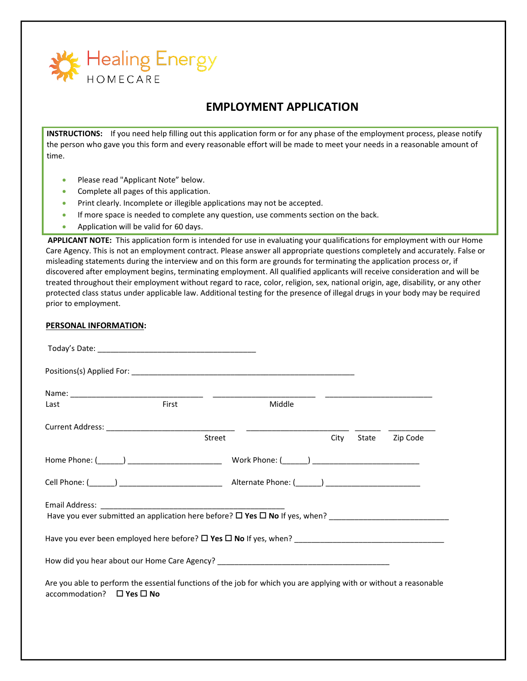

# **EMPLOYMENT APPLICATION**

**INSTRUCTIONS:** If you need help filling out this application form or for any phase of the employment process, please notify the person who gave you this form and every reasonable effort will be made to meet your needs in a reasonable amount of time.

- Please read "Applicant Note" below.
- Complete all pages of this application.
- Print clearly. Incomplete or illegible applications may not be accepted.
- If more space is needed to complete any question, use comments section on the back.
- Application will be valid for 60 days.

**APPLICANT NOTE:** This application form is intended for use in evaluating your qualifications for employment with our Home Care Agency. This is not an employment contract. Please answer all appropriate questions completely and accurately. False or misleading statements during the interview and on this form are grounds for terminating the application process or, if discovered after employment begins, terminating employment. All qualified applicants will receive consideration and will be treated throughout their employment without regard to race, color, religion, sex, national origin, age, disability, or any other protected class status under applicable law. Additional testing for the presence of illegal drugs in your body may be required prior to employment.

#### **PERSONAL INFORMATION:**

| Last                                | First                                                                                                                                                                                                          | Middle |            |          |
|-------------------------------------|----------------------------------------------------------------------------------------------------------------------------------------------------------------------------------------------------------------|--------|------------|----------|
|                                     |                                                                                                                                                                                                                |        |            |          |
|                                     | Street                                                                                                                                                                                                         |        | City State | Zip Code |
|                                     |                                                                                                                                                                                                                |        |            |          |
|                                     |                                                                                                                                                                                                                |        |            |          |
|                                     | Email Address: The Management of the Management of the Management of the Management of the Management of the M<br>Have you ever submitted an application here before? $\square$ Yes $\square$ No If yes, when? |        |            |          |
|                                     | Have you ever been employed here before? $\square$ Yes $\square$ No If yes, when?                                                                                                                              |        |            |          |
|                                     | How did you hear about our Home Care Agency? ___________________________________                                                                                                                               |        |            |          |
| accommodation? $\Box$ Yes $\Box$ No | Are you able to perform the essential functions of the job for which you are applying with or without a reasonable                                                                                             |        |            |          |
|                                     |                                                                                                                                                                                                                |        |            |          |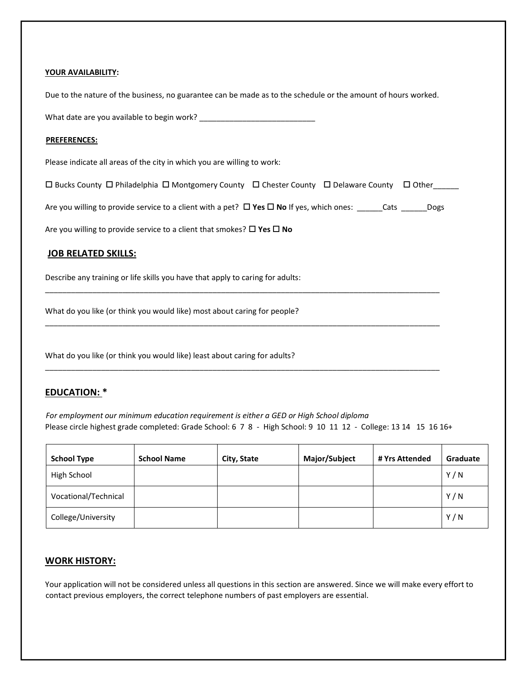#### **YOUR AVAILABILITY:**

Due to the nature of the business, no guarantee can be made as to the schedule or the amount of hours worked.

What date are you available to begin work?

#### **PREFERENCES:**

Please indicate all areas of the city in which you are willing to work:

 $\square$  Bucks County  $\square$  Philadelphia  $\square$  Montgomery County  $\square$  Chester County  $\square$  Delaware County  $\square$  Other

Are you willing to provide service to a client with a pet?  $\Box$  Yes  $\Box$  No If yes, which ones: \_\_\_\_\_Cats \_\_\_\_\_\_Dogs

\_\_\_\_\_\_\_\_\_\_\_\_\_\_\_\_\_\_\_\_\_\_\_\_\_\_\_\_\_\_\_\_\_\_\_\_\_\_\_\_\_\_\_\_\_\_\_\_\_\_\_\_\_\_\_\_\_\_\_\_\_\_\_\_\_\_\_\_\_\_\_\_\_\_\_\_\_\_\_\_\_\_\_\_\_\_\_\_\_\_\_\_

\_\_\_\_\_\_\_\_\_\_\_\_\_\_\_\_\_\_\_\_\_\_\_\_\_\_\_\_\_\_\_\_\_\_\_\_\_\_\_\_\_\_\_\_\_\_\_\_\_\_\_\_\_\_\_\_\_\_\_\_\_\_\_\_\_\_\_\_\_\_\_\_\_\_\_\_\_\_\_\_\_\_\_\_\_\_\_\_\_\_\_\_

\_\_\_\_\_\_\_\_\_\_\_\_\_\_\_\_\_\_\_\_\_\_\_\_\_\_\_\_\_\_\_\_\_\_\_\_\_\_\_\_\_\_\_\_\_\_\_\_\_\_\_\_\_\_\_\_\_\_\_\_\_\_\_\_\_\_\_\_\_\_\_\_\_\_\_\_\_\_\_\_\_\_\_\_\_\_\_\_\_\_\_\_

Are you willing to provide service to a client that smokes?  $\Box$  Yes  $\Box$  No

#### **JOB RELATED SKILLS:**

Describe any training or life skills you have that apply to caring for adults:

What do you like (or think you would like) most about caring for people?

What do you like (or think you would like) least about caring for adults?

### **EDUCATION: \***

*For employment our minimum education requirement is either a GED or High School diploma*  Please circle highest grade completed: Grade School: 6 7 8 - High School: 9 10 11 12 - College: 13 14 15 16 16+

| <b>School Type</b>   | <b>School Name</b> | City, State | Major/Subject | # Yrs Attended | Graduate |
|----------------------|--------------------|-------------|---------------|----------------|----------|
| High School          |                    |             |               |                | Y/N      |
| Vocational/Technical |                    |             |               |                | Y/N      |
| College/University   |                    |             |               |                | Y/N      |

## **WORK HISTORY:**

Your application will not be considered unless all questions in this section are answered. Since we will make every effort to contact previous employers, the correct telephone numbers of past employers are essential.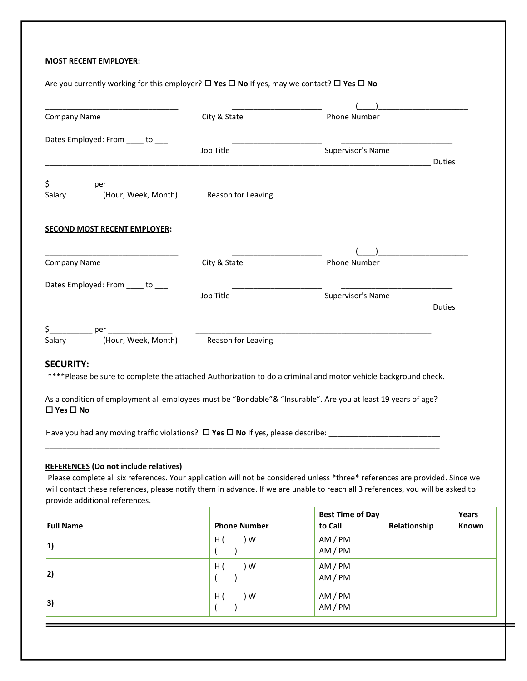#### **MOST RECENT EMPLOYER:**

Are you currently working for this employer? □ Yes □ No If yes, may we contact? □ Yes □ No

| <b>Company Name</b>                              | City & State | Phone Number        |               |
|--------------------------------------------------|--------------|---------------------|---------------|
| Dates Employed: From ____ to ___                 |              |                     |               |
|                                                  | Job Title    | Supervisor's Name   |               |
|                                                  |              |                     | Duties        |
| \$_____________ per ___________________          |              |                     |               |
| (Hour, Week, Month) Reason for Leaving<br>Salary |              |                     |               |
| <b>SECOND MOST RECENT EMPLOYER:</b>              |              |                     |               |
|                                                  |              |                     |               |
| <b>Company Name</b>                              | City & State | <b>Phone Number</b> |               |
| Dates Employed: From ____ to ___                 |              |                     |               |
|                                                  | Job Title    | Supervisor's Name   |               |
|                                                  |              |                     | <b>Duties</b> |
|                                                  |              |                     |               |
| \$_____________ per __________________           |              |                     |               |

#### **Yes No**

Have you had any moving traffic violations? **Yes No** If yes, please describe: \_\_\_\_\_\_\_\_\_\_\_\_\_\_\_\_\_\_\_\_\_\_\_\_\_\_

## **REFERENCES (Do not include relatives)**

Please complete all six references. Your application will not be considered unless \*three\* references are provided. Since we will contact these references, please notify them in advance. If we are unable to reach all 3 references, you will be asked to provide additional references.

\_\_\_\_\_\_\_\_\_\_\_\_\_\_\_\_\_\_\_\_\_\_\_\_\_\_\_\_\_\_\_\_\_\_\_\_\_\_\_\_\_\_\_\_\_\_\_\_\_\_\_\_\_\_\_\_\_\_\_\_\_\_\_\_\_\_\_\_\_\_\_\_\_\_\_\_\_\_\_\_\_\_\_\_\_\_\_\_\_\_\_\_

| <b>Full Name</b> | <b>Phone Number</b> | <b>Best Time of Day</b><br>to Call | Relationship | Years<br>Known |
|------------------|---------------------|------------------------------------|--------------|----------------|
| 1)               | ) W<br>H(           | AM / PM<br>AM / PM                 |              |                |
| 2)               | ) W<br>H(           | AM / PM<br>AM / PM                 |              |                |
| 3)               | H(<br>) W           | AM / PM<br>AM / PM                 |              |                |